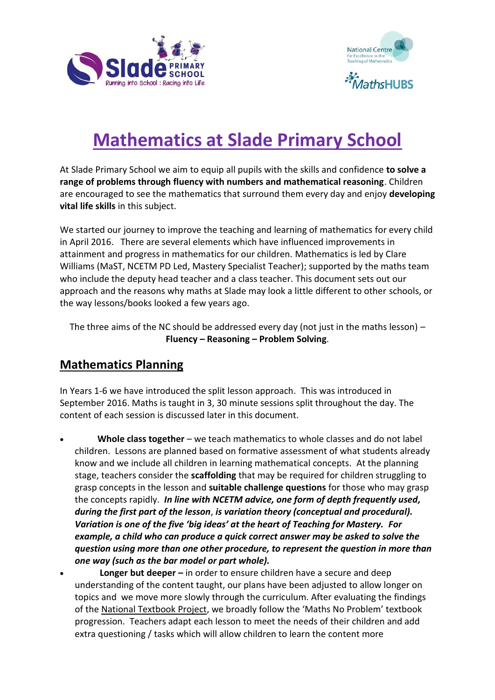



## **Mathematics at Slade Primary School**

At Slade Primary School we aim to equip all pupils with the skills and confidence **to solve a range of problems through fluency with numbers and mathematical reasoning**. Children are encouraged to see the mathematics that surround them every day and enjoy **developing vital life skills** in this subject.

We started our journey to improve the teaching and learning of mathematics for every child in April 2016. There are several elements which have influenced improvements in attainment and progress in mathematics for our children. Mathematics is led by Clare Williams (MaST, NCETM PD Led, Mastery Specialist Teacher); supported by the maths team who include the deputy head teacher and a class teacher. This document sets out our approach and the reasons why maths at Slade may look a little different to other schools, or the way lessons/books looked a few years ago.

The three aims of the NC should be addressed every day (not just in the maths lesson)  $-$ **Fluency – Reasoning – Problem Solving**.

## **Mathematics Planning**

In Years 1-6 we have introduced the split lesson approach. This was introduced in September 2016. Maths is taught in 3, 30 minute sessions split throughout the day. The content of each session is discussed later in this document.

- **Whole class together** we teach mathematics to whole classes and do not label children. Lessons are planned based on formative assessment of what students already know and we include all children in learning mathematical concepts. At the planning stage, teachers consider the **scaffolding** that may be required for children struggling to grasp concepts in the lesson and **suitable challenge questions** for those who may grasp the concepts rapidly. *In line with NCETM advice, one form of depth frequently used, during the first part of the lesson*, *is variation theory (conceptual and procedural). Variation is one of the five 'big ideas' at the heart of Teaching for Mastery. For example, a child who can produce a quick correct answer may be asked to solve the question using more than one other procedure, to represent the question in more than one way (such as the bar model or part whole).*
- **Longer but deeper –** in order to ensure children have a secure and deep understanding of the content taught, our plans have been adjusted to allow longer on topics and we move more slowly through the curriculum. After evaluating the findings of th[e National Textbook Project,](http://www.mathshubs.org.uk/media/5202/ncp2-evaluation-final-sept-21.pdf) we broadly follow the 'Maths No Problem' textbook progression. Teachers adapt each lesson to meet the needs of their children and add extra questioning / tasks which will allow children to learn the content more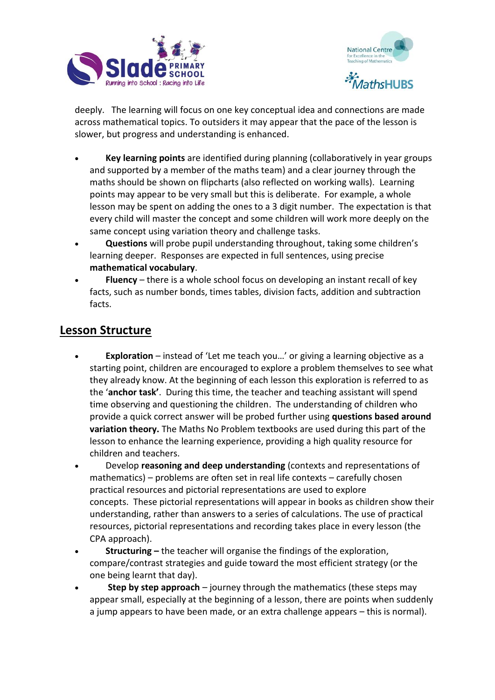



deeply. The learning will focus on one key conceptual idea and connections are made across mathematical topics. To outsiders it may appear that the pace of the lesson is slower, but progress and understanding is enhanced.

- **Key learning points** are identified during planning (collaboratively in year groups and supported by a member of the maths team) and a clear journey through the maths should be shown on flipcharts (also reflected on working walls). Learning points may appear to be very small but this is deliberate. For example, a whole lesson may be spent on adding the ones to a 3 digit number. The expectation is that every child will master the concept and some children will work more deeply on the same concept using variation theory and challenge tasks.
- **Questions** will probe pupil understanding throughout, taking some children's learning deeper. Responses are expected in full sentences, using precise **mathematical vocabulary**.
- **Fluency** there is a whole school focus on developing an instant recall of key facts, such as number bonds, times tables, division facts, addition and subtraction facts.

## **Lesson Structure**

- **Exploration** instead of 'Let me teach you…' or giving a learning objective as a starting point, children are encouraged to explore a problem themselves to see what they already know. At the beginning of each lesson this exploration is referred to as the '**anchor task'**. During this time, the teacher and teaching assistant will spend time observing and questioning the children. The understanding of children who provide a quick correct answer will be probed further using **questions based around variation theory.** The Maths No Problem textbooks are used during this part of the lesson to enhance the learning experience, providing a high quality resource for children and teachers.
- Develop **reasoning and deep understanding** (contexts and representations of mathematics) – problems are often set in real life contexts – carefully chosen practical resources and pictorial representations are used to explore concepts. These pictorial representations will appear in books as children show their understanding, rather than answers to a series of calculations. The use of practical resources, pictorial representations and recording takes place in every lesson (the CPA approach).
- **Structuring –** the teacher will organise the findings of the exploration, compare/contrast strategies and guide toward the most efficient strategy (or the one being learnt that day).
- **Step by step approach** journey through the mathematics (these steps may appear small, especially at the beginning of a lesson, there are points when suddenly a jump appears to have been made, or an extra challenge appears – this is normal).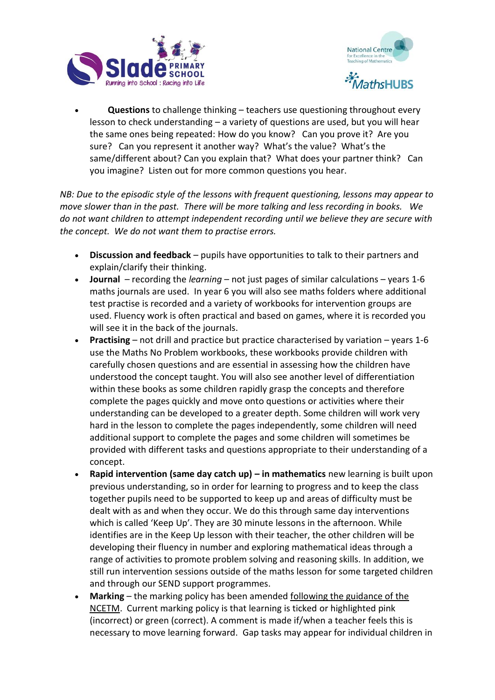



 **Questions** to challenge thinking – teachers use questioning throughout every lesson to check understanding – a variety of questions are used, but you will hear the same ones being repeated: How do you know? Can you prove it? Are you sure? Can you represent it another way? What's the value? What's the same/different about? Can you explain that? What does your partner think? Can you imagine? Listen out for more common questions you hear.

*NB: Due to the episodic style of the lessons with frequent questioning, lessons may appear to move slower than in the past. There will be more talking and less recording in books. We do not want children to attempt independent recording until we believe they are secure with the concept. We do not want them to practise errors.*

- **Discussion and feedback** pupils have opportunities to talk to their partners and explain/clarify their thinking.
- **Journal** recording the *learning*  not just pages of similar calculations years 1-6 maths journals are used. In year 6 you will also see maths folders where additional test practise is recorded and a variety of workbooks for intervention groups are used. Fluency work is often practical and based on games, where it is recorded you will see it in the back of the journals.
- **Practising** not drill and practice but practice characterised by variation years 1-6 use the Maths No Problem workbooks, these workbooks provide children with carefully chosen questions and are essential in assessing how the children have understood the concept taught. You will also see another level of differentiation within these books as some children rapidly grasp the concepts and therefore complete the pages quickly and move onto questions or activities where their understanding can be developed to a greater depth. Some children will work very hard in the lesson to complete the pages independently, some children will need additional support to complete the pages and some children will sometimes be provided with different tasks and questions appropriate to their understanding of a concept.
- **Rapid intervention (same day catch up) in mathematics new learning is built upon** previous understanding, so in order for learning to progress and to keep the class together pupils need to be supported to keep up and areas of difficulty must be dealt with as and when they occur. We do this through same day interventions which is called 'Keep Up'. They are 30 minute lessons in the afternoon. While identifies are in the Keep Up lesson with their teacher, the other children will be developing their fluency in number and exploring mathematical ideas through a range of activities to promote problem solving and reasoning skills. In addition, we still run intervention sessions outside of the maths lesson for some targeted children and through our SEND support programmes.
- **Marking** the marking policy has been amended [following the guidance of the](https://www.ncetm.org.uk/files/33333022/NCETM+Primary+Marking+Guidance+April+2016.pdf)  [NCETM.](https://www.ncetm.org.uk/files/33333022/NCETM+Primary+Marking+Guidance+April+2016.pdf) Current marking policy is that learning is ticked or highlighted pink (incorrect) or green (correct). A comment is made if/when a teacher feels this is necessary to move learning forward. Gap tasks may appear for individual children in